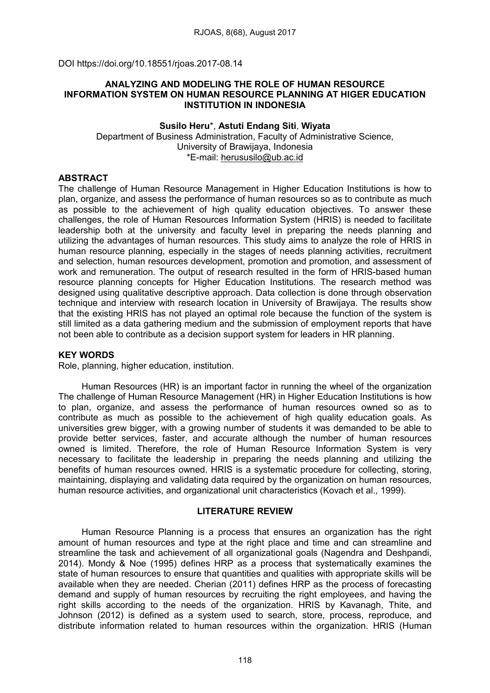DOI https://doi.org/10.18551/rjoas.2017-08.14

### ANALYZING AND MODELING THE ROLE OF HUMAN RESOURCE INFORMATION SYSTEM ON HUMAN RESOURCE PLANNING AT HIGER EDUCATION INSTITUTION IN INDONESIA

#### Susilo Heru\*, Astuti Endang Siti, Wiyata Department of Business Administration, Faculty of Administrative Science, University of Brawijaya, Indonesia \*E-mail: [herususilo@ub.ac.id](mailto:herususilo@ub.ac.id)

## ABSTRACT

The challenge of Human Resource Management in Higher Education Institutions is how to plan, organize, and assess the performance of human resources so as to contribute as much as possible to the achievement of high quality education objectives. To answer these challenges, the role of Human Resources Information System (HRIS) is needed to facilitate leadership both at the university and faculty level in preparing the needs planning and utilizing the advantages of human resources. This study aims to analyze the role of HRIS in human resource planning, especially in the stages of needs planning activities, recruitment and selection, human resources development, promotion and promotion, and assessment of work and remuneration. The output of research resulted in the form of HRIS-based human resource planning concepts for Higher Education Institutions. The research method was designed using qualitative descriptive approach. Data collection is done through observation technique and interview with research location in University of Brawijaya. The results show that the existing HRIS has not played an optimal role because the function of the system is still limited as a data gathering medium and the submission of employment reports that have not been able to contribute as a decision support system for leaders in HR planning.

#### KEY WORDS

Role, planning, higher education, institution.

Human Resources (HR) is an important factor in running the wheel of the organization The challenge of Human Resource Management (HR) in Higher Education Institutions is how to plan, organize, and assess the performance of human resources owned so as to contribute as much as possible to the achievement of high quality education goals. As universities grew bigger, with a growing number of students it was demanded to be able to provide better services, faster, and accurate although the number of human resources owned is limited. Therefore, the role of Human Resource Information System is very necessary to facilitate the leadership in preparing the needs planning and utilizing the benefits of human resources owned. HRIS is a systematic procedure for collecting, storing, maintaining, displaying and validating data required by the organization on human resources, human resource activities, and organizational unit characteristics (Kovach et al., 1999).

### LITERATURE REVIEW

Human Resource Planning is a process that ensures an organization has the right amount of human resources and type at the right place and time and can streamline and streamline the task and achievement of all organizational goals (Nagendra and Deshpandi, 2014). Mondy & Noe (1995) defines HRP as a process that systematically examines the state of human resources to ensure that quantities and qualities with appropriate skills will be available when they are needed. Cherian (2011) defines HRP as the process of forecasting demand and supply of human resources by recruiting the right employees, and having the right skills according to the needs of the organization. HRIS by Kavanagh, Thite, and Johnson (2012) is defined as a system used to search, store, process, reproduce, and distribute information related to human resources within the organization. HRIS (Human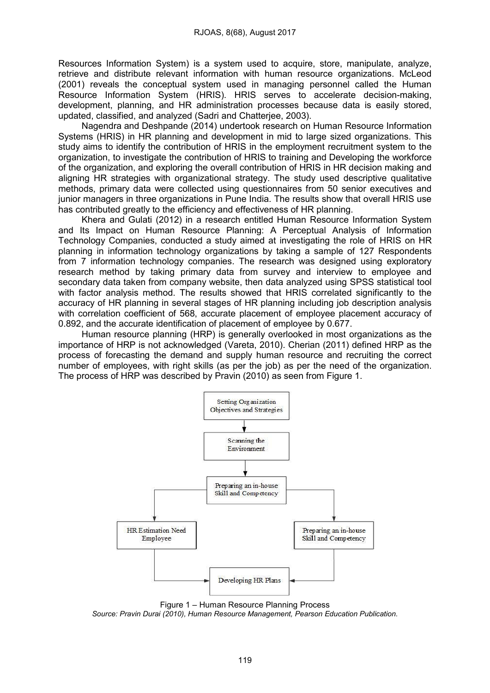Resources Information System) is a system used to acquire, store, manipulate, analyze, retrieve and distribute relevant information with human resource organizations. McLeod (2001) reveals the conceptual system used in managing personnel called the Human Resource Information System (HRIS). HRIS serves to accelerate decision-making, development, planning, and HR administration processes because data is easily stored, updated, classified, and analyzed (Sadri and Chatterjee, 2003).

Nagendra and Deshpande (2014) undertook research on Human Resource Information Systems (HRIS) in HR planning and development in mid to large sized organizations. This study aims to identify the contribution of HRIS in the employment recruitment system to the organization, to investigate the contribution of HRIS to training and Developing the workforce of the organization, and exploring the overall contribution of HRIS in HR decision making and aligning HR strategies with organizational strategy. The study used descriptive qualitative methods, primary data were collected using questionnaires from 50 senior executives and junior managers in three organizations in Pune India. The results show that overall HRIS use has contributed greatly to the efficiency and effectiveness of HR planning.

Khera and Gulati (2012) in a research entitled Human Resource Information System and Its Impact on Human Resource Planning: A Perceptual Analysis of Information Technology Companies, conducted a study aimed at investigating the role of HRIS on HR planning in information technology organizations by taking a sample of 127 Respondents from 7 information technology companies. The research was designed using exploratory research method by taking primary data from survey and interview to employee and secondary data taken from company website, then data analyzed using SPSS statistical tool with factor analysis method. The results showed that HRIS correlated significantly to the accuracy of HR planning in several stages of HR planning including job description analysis with correlation coefficient of 568, accurate placement of employee placement accuracy of 0.892, and the accurate identification of placement of employee by 0.677.

Human resource planning (HRP) is generally overlooked in most organizations as the importance of HRP is not acknowledged (Vareta, 2010). Cherian (2011) defined HRP as the process of forecasting the demand and supply human resource and recruiting the correct number of employees, with right skills (as per the job) as per the need of the organization. The process of HRP was described by Pravin (2010) as seen from Figure 1.



Figure 1 – Human Resource Planning Process

*Source: Pravin Durai (2010), Human Resource Management, Pearson Education Publication.*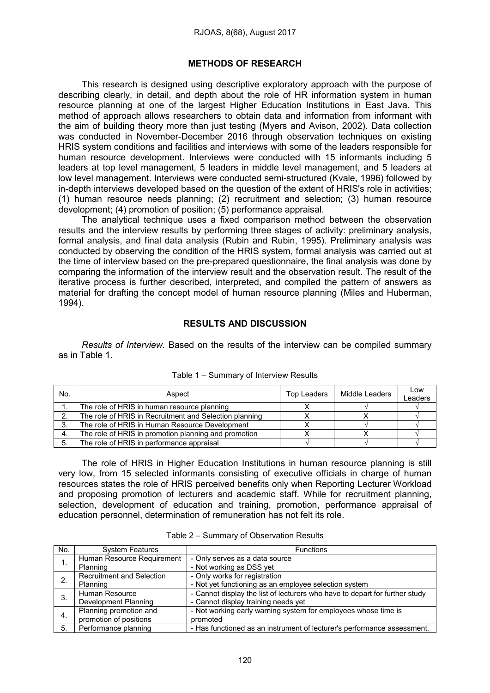#### METHODS OF RESEARCH

This research is designed using descriptive exploratory approach with the purpose of describing clearly, in detail, and depth about the role of HR information system in human resource planning at one of the largest Higher Education Institutions in East Java. This method of approach allows researchers to obtain data and information from informant with the aim of building theory more than just testing (Myers and Avison, 2002). Data collection was conducted in November-December 2016 through observation techniques on existing HRIS system conditions and facilities and interviews with some of the leaders responsible for human resource development. Interviews were conducted with 15 informants including 5 leaders at top level management, 5 leaders in middle level management, and 5 leaders at low level management. Interviews were conducted semi-structured (Kvale, 1996) followed by in-depth interviews developed based on the question of the extent of HRIS's role in activities; (1) human resource needs planning; (2) recruitment and selection; (3) human resource development; (4) promotion of position; (5) performance appraisal.

The analytical technique uses a fixed comparison method between the observation results and the interview results by performing three stages of activity: preliminary analysis, formal analysis, and final data analysis (Rubin and Rubin, 1995). Preliminary analysis was conducted by observing the condition of the HRIS system, formal analysis was carried out at the time of interview based on the pre-prepared questionnaire, the final analysis was done by comparing the information of the interview result and the observation result. The result of the iterative process is further described, interpreted, and compiled the pattern of answers as material for drafting the concept model of human resource planning (Miles and Huberman, 1994).

### RESULTS AND DISCUSSION

*Results of Interview.* Based on the results of the interview can be compiled summary as in Table 1.

| No. | Aspect                                                 | Top Leaders | Middle Leaders | Low<br>Leaders |
|-----|--------------------------------------------------------|-------------|----------------|----------------|
|     | The role of HRIS in human resource planning            |             |                |                |
| ົ   | The role of HRIS in Recruitment and Selection planning |             |                |                |
| 3.  | The role of HRIS in Human Resource Development         |             |                |                |
| 4.  | The role of HRIS in promotion planning and promotion   |             |                |                |
| 5.  | The role of HRIS in performance appraisal              |             |                |                |

| Table 1 - Summary of Interview Results |  |
|----------------------------------------|--|
|----------------------------------------|--|

The role of HRIS in Higher Education Institutions in human resource planning is still very low, from 15 selected informants consisting of executive officials in charge of human resources states the role of HRIS perceived benefits only when Reporting Lecturer Workload and proposing promotion of lecturers and academic staff. While for recruitment planning, selection, development of education and training, promotion, performance appraisal of education personnel, determination of remuneration has not felt its role.

| No. | <b>System Features</b>           | <b>Functions</b>                                                            |
|-----|----------------------------------|-----------------------------------------------------------------------------|
| 1.  | Human Resource Requirement       | - Only serves as a data source                                              |
|     | Planning                         | - Not working as DSS yet                                                    |
| 2.  | <b>Recruitment and Selection</b> | - Only works for registration                                               |
|     | Planning                         | - Not yet functioning as an employee selection system                       |
| 3.  | Human Resource                   | - Cannot display the list of lecturers who have to depart for further study |
|     | Development Planning             | - Cannot display training needs yet                                         |
| -4. | Planning promotion and           | - Not working early warning system for employees whose time is              |
|     | promotion of positions           | promoted                                                                    |
| 5.  | Performance planning             | - Has functioned as an instrument of lecturer's performance assessment.     |

Table 2 – Summary of Observation Results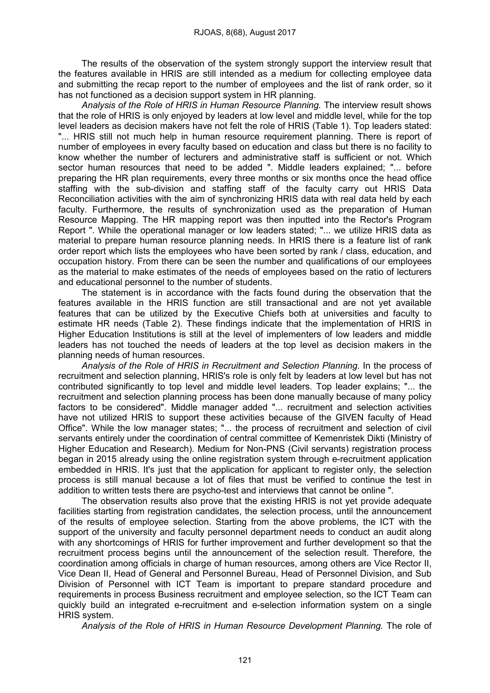The results of the observation of the system strongly support the interview result that the features available in HRIS are still intended as a medium for collecting employee data and submitting the recap report to the number of employees and the list of rank order, so it has not functioned as a decision support system in HR planning.

*Analysis of the Role of HRIS in Human Resource Planning.* The interview result shows that the role of HRIS is only enjoyed by leaders at low level and middle level, while for the top level leaders as decision makers have not felt the role of HRIS (Table 1). Top leaders stated: "... HRIS still not much help in human resource requirement planning. There is report of number of employees in every faculty based on education and class but there is no facility to know whether the number of lecturers and administrative staff is sufficient or not. Which sector human resources that need to be added ". Middle leaders explained; "... before preparing the HR plan requirements, every three months or six months once the head office staffing with the sub-division and staffing staff of the faculty carry out HRIS Data Reconciliation activities with the aim of synchronizing HRIS data with real data held by each faculty. Furthermore, the results of synchronization used as the preparation of Human Resource Mapping. The HR mapping report was then inputted into the Rector's Program Report ". While the operational manager or low leaders stated; "... we utilize HRIS data as material to prepare human resource planning needs. In HRIS there is a feature list of rank order report which lists the employees who have been sorted by rank / class, education, and occupation history. From there can be seen the number and qualifications of our employees as the material to make estimates of the needs of employees based on the ratio of lecturers and educational personnel to the number of students.

The statement is in accordance with the facts found during the observation that the features available in the HRIS function are still transactional and are not yet available features that can be utilized by the Executive Chiefs both at universities and faculty to estimate HR needs (Table 2). These findings indicate that the implementation of HRIS in Higher Education Institutions is still at the level of implementers of low leaders and middle leaders has not touched the needs of leaders at the top level as decision makers in the planning needs of human resources.

*Analysis of the Role of HRIS in Recruitment and Selection Planning.* In the process of recruitment and selection planning, HRIS's role is only felt by leaders at low level but has not contributed significantly to top level and middle level leaders. Top leader explains; "... the recruitment and selection planning process has been done manually because of many policy factors to be considered". Middle manager added "... recruitment and selection activities have not utilized HRIS to support these activities because of the GIVEN faculty of Head Office". While the low manager states; "... the process of recruitment and selection of civil servants entirely under the coordination of central committee of Kemenristek Dikti (Ministry of Higher Education and Research). Medium for Non-PNS (Civil servants) registration process began in 2015 already using the online registration system through e-recruitment application embedded in HRIS. It's just that the application for applicant to register only, the selection process is still manual because a lot of files that must be verified to continue the test in addition to written tests there are psycho-test and interviews that cannot be online ".

The observation results also prove that the existing HRIS is not yet provide adequate facilities starting from registration candidates, the selection process, until the announcement of the results of employee selection. Starting from the above problems, the ICT with the support of the university and faculty personnel department needs to conduct an audit along with any shortcomings of HRIS for further improvement and further development so that the recruitment process begins until the announcement of the selection result. Therefore, the coordination among officials in charge of human resources, among others are Vice Rector II, Vice Dean II, Head of General and Personnel Bureau, Head of Personnel Division, and Sub Division of Personnel with ICT Team is important to prepare standard procedure and requirements in process Business recruitment and employee selection, so the ICT Team can quickly build an integrated e-recruitment and e-selection information system on a single HRIS system.

*Analysis of the Role of HRIS in Human Resource Development Planning.* The role of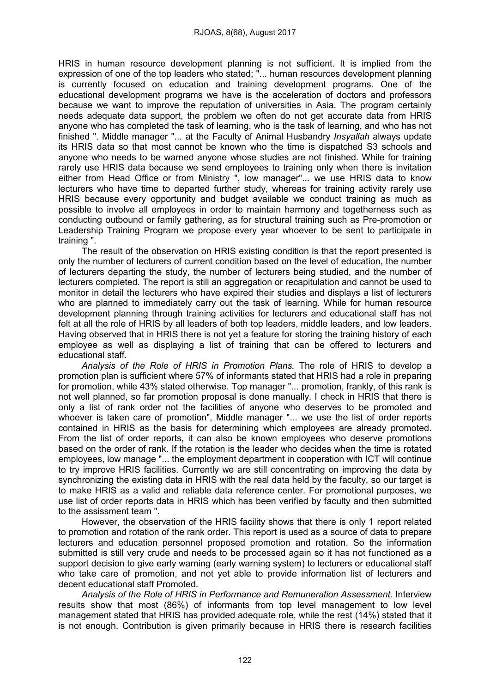HRIS in human resource development planning is not sufficient. It is implied from the expression of one of the top leaders who stated; "... human resources development planning is currently focused on education and training development programs. One of the educational development programs we have is the acceleration of doctors and professors because we want to improve the reputation of universities in Asia. The program certainly needs adequate data support, the problem we often do not get accurate data from HRIS anyone who has completed the task of learning, who is the task of learning, and who has not finished ". Middle manager "... at the Faculty of Animal Husbandry *Insyallah* always update its HRIS data so that most cannot be known who the time is dispatched S3 schools and anyone who needs to be warned anyone whose studies are not finished. While for training rarely use HRIS data because we send employees to training only when there is invitation either from Head Office or from Ministry ", low manager"... we use HRIS data to know lecturers who have time to departed further study, whereas for training activity rarely use HRIS because every opportunity and budget available we conduct training as much as possible to involve all employees in order to maintain harmony and togetherness such as conducting outbound or family gathering, as for structural training such as Pre-promotion or Leadership Training Program we propose every year whoever to be sent to participate in training ".

The result of the observation on HRIS existing condition is that the report presented is only the number of lecturers of current condition based on the level of education, the number of lecturers departing the study, the number of lecturers being studied, and the number of lecturers completed. The report is still an aggregation or recapitulation and cannot be used to monitor in detail the lecturers who have expired their studies and displays a list of lecturers who are planned to immediately carry out the task of learning. While for human resource development planning through training activities for lecturers and educational staff has not felt at all the role of HRIS by all leaders of both top leaders, middle leaders, and low leaders. Having observed that in HRIS there is not yet a feature for storing the training history of each employee as well as displaying a list of training that can be offered to lecturers and educational staff.

*Analysis of the Role of HRIS in Promotion Plans.* The role of HRIS to develop a promotion plan is sufficient where 57% of informants stated that HRIS had a role in preparing for promotion, while 43% stated otherwise. Top manager "... promotion, frankly, of this rank is not well planned, so far promotion proposal is done manually. I check in HRIS that there is only a list of rank order not the facilities of anyone who deserves to be promoted and whoever is taken care of promotion", Middle manager "... we use the list of order reports contained in HRIS as the basis for determining which employees are already promoted. From the list of order reports, it can also be known employees who deserve promotions based on the order of rank. If the rotation is the leader who decides when the time is rotated employees, low manage "... the employment department in cooperation with ICT will continue to try improve HRIS facilities. Currently we are still concentrating on improving the data by synchronizing the existing data in HRIS with the real data held by the faculty, so our target is to make HRIS as a valid and reliable data reference center. For promotional purposes, we use list of order reports data in HRIS which has been verified by faculty and then submitted to the assissment team ".

However, the observation of the HRIS facility shows that there is only 1 report related to promotion and rotation of the rank order. This report is used as a source of data to prepare lecturers and education personnel proposed promotion and rotation. So the information submitted is still very crude and needs to be processed again so it has not functioned as a support decision to give early warning (early warning system) to lecturers or educational staff who take care of promotion, and not yet able to provide information list of lecturers and decent educational staff Promoted.

*Analysis of the Role of HRIS in Performance and Remuneration Assessment.* Interview results show that most (86%) of informants from top level management to low level management stated that HRIS has provided adequate role, while the rest (14%) stated that it is not enough. Contribution is given primarily because in HRIS there is research facilities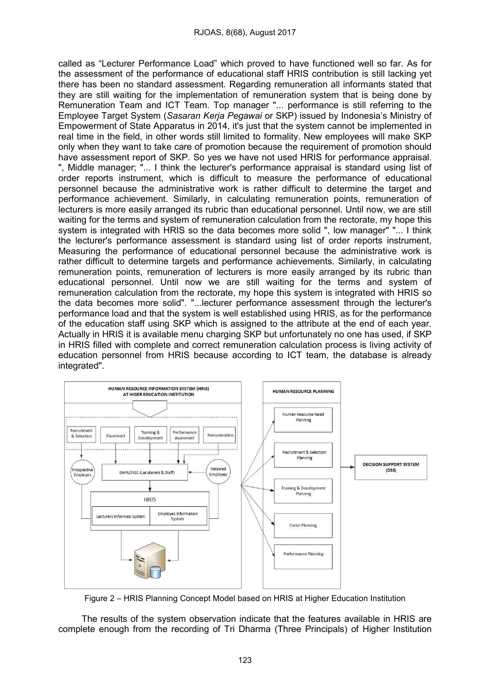called as "Lecturer Performance Load" which proved to have functioned well so far. As for the assessment of the performance of educational staff HRIS contribution is still lacking yet there has been no standard assessment. Regarding remuneration all informants stated that they are still waiting for the implementation of remuneration system that is being done by Remuneration Team and ICT Team. Top manager "... performance is still referring to the Employee Target System (*Sasaran Kerja Pegawai* or SKP) issued by Indonesia's Ministry of Empowerment of State Apparatus in 2014, it's just that the system cannot be implemented in real time in the field, in other words still limited to formality. New employees will make SKP only when they want to take care of promotion because the requirement of promotion should have assessment report of SKP. So yes we have not used HRIS for performance appraisal. ", Middle manager; "... I think the lecturer's performance appraisal is standard using list of order reports instrument, which is difficult to measure the performance of educational personnel because the administrative work is rather difficult to determine the target and performance achievement. Similarly, in calculating remuneration points, remuneration of lecturers is more easily arranged its rubric than educational personnel. Until now, we are still waiting for the terms and system of remuneration calculation from the rectorate, my hope this system is integrated with HRIS so the data becomes more solid ", low manager" "... I think the lecturer's performance assessment is standard using list of order reports instrument, Measuring the performance of educational personnel because the administrative work is rather difficult to determine targets and performance achievements. Similarly, in calculating remuneration points, remuneration of lecturers is more easily arranged by its rubric than educational personnel. Until now we are still waiting for the terms and system of remuneration calculation from the rectorate, my hope this system is integrated with HRIS so the data becomes more solid". "...lecturer performance assessment through the lecturer's performance load and that the system is well established using HRIS, as for the performance of the education staff using SKP which is assigned to the attribute at the end of each year. Actually in HRIS it is available menu charging SKP but unfortunately no one has used, if SKP in HRIS filled with complete and correct remuneration calculation process is living activity of education personnel from HRIS because according to ICT team, the database is already integrated".



Figure 2 – HRIS Planning Concept Model based on HRIS at Higher Education Institution

The results of the system observation indicate that the features available in HRIS are complete enough from the recording of Tri Dharma (Three Principals) of Higher Institution